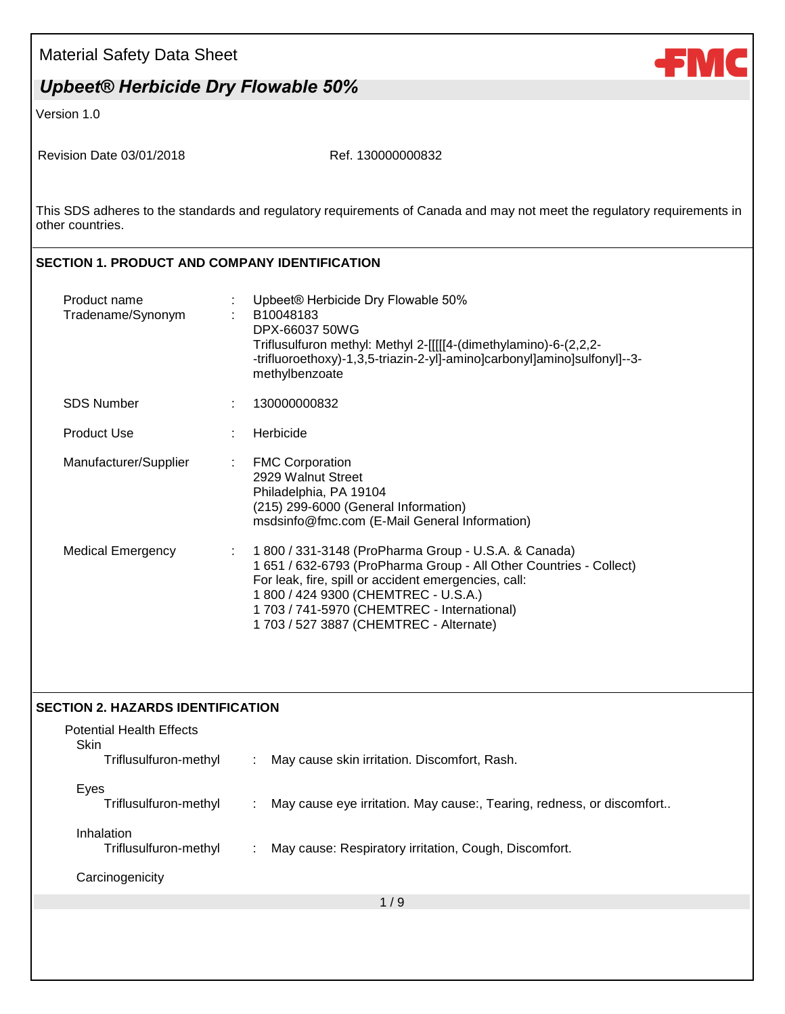### Material Safety Data Sheet

### *Upbeet® Herbicide Dry Flowable 50%*

Version 1.0

Revision Date 03/01/2018 Ref. 130000000832

This SDS adheres to the standards and regulatory requirements of Canada and may not meet the regulatory requirements in other countries.

#### **SECTION 1. PRODUCT AND COMPANY IDENTIFICATION**

| Product name<br>Tradename/Synonym |                          | Upbeet® Herbicide Dry Flowable 50%<br>B10048183<br>DPX-66037 50WG<br>Triflusulfuron methyl: Methyl 2-[[[[[4-(dimethylamino)-6-(2,2,2-<br>-trifluoroethoxy)-1,3,5-triazin-2-yl]-amino]carbonyl]amino]sulfonyl]--3-<br>methylbenzoate                                                                                    |
|-----------------------------------|--------------------------|------------------------------------------------------------------------------------------------------------------------------------------------------------------------------------------------------------------------------------------------------------------------------------------------------------------------|
| <b>SDS Number</b>                 |                          | 130000000832                                                                                                                                                                                                                                                                                                           |
| <b>Product Use</b>                |                          | Herbicide                                                                                                                                                                                                                                                                                                              |
| Manufacturer/Supplier             | $\mathcal{L}_{\rm{max}}$ | <b>FMC Corporation</b><br>2929 Walnut Street<br>Philadelphia, PA 19104<br>(215) 299-6000 (General Information)<br>msdsinfo@fmc.com (E-Mail General Information)                                                                                                                                                        |
| <b>Medical Emergency</b>          |                          | : 1 800 / 331-3148 (ProPharma Group - U.S.A. & Canada)<br>1 651 / 632-6793 (ProPharma Group - All Other Countries - Collect)<br>For leak, fire, spill or accident emergencies, call:<br>1 800 / 424 9300 (CHEMTREC - U.S.A.)<br>1 703 / 741-5970 (CHEMTREC - International)<br>1 703 / 527 3887 (CHEMTREC - Alternate) |

#### **SECTION 2. HAZARDS IDENTIFICATION**

| <b>Potential Health Effects</b><br><b>Skin</b> |    |                                                                       |
|------------------------------------------------|----|-----------------------------------------------------------------------|
| Triflusulfuron-methyl                          | ÷  | May cause skin irritation. Discomfort, Rash.                          |
| Eyes                                           |    |                                                                       |
| Triflusulfuron-methyl                          | ÷. | May cause eye irritation. May cause:, Tearing, redness, or discomfort |
| Inhalation<br>Triflusulfuron-methyl            | ÷  | May cause: Respiratory irritation, Cough, Discomfort.                 |
| Carcinogenicity                                |    |                                                                       |
|                                                |    | 1/9                                                                   |
|                                                |    |                                                                       |

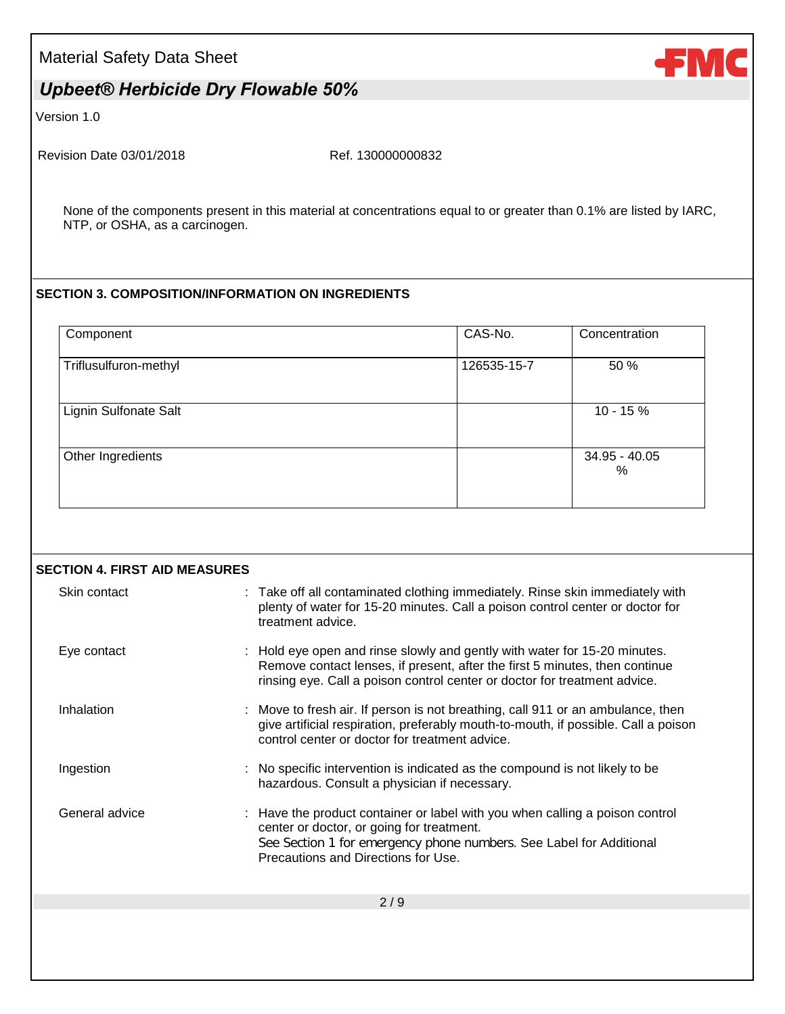### Material Safety Data Sheet

## *Upbeet® Herbicide Dry Flowable 50%*

Version 1.0

Revision Date 03/01/2018 Ref. 130000000832

None of the components present in this material at concentrations equal to or greater than 0.1% are listed by IARC, NTP, or OSHA, as a carcinogen.

#### **SECTION 3. COMPOSITION/INFORMATION ON INGREDIENTS**

| Component             | CAS-No.     | Concentration      |
|-----------------------|-------------|--------------------|
| Triflusulfuron-methyl | 126535-15-7 | 50 %               |
| Lignin Sulfonate Salt |             | $10 - 15%$         |
| Other Ingredients     |             | 34.95 - 40.05<br>% |

| <b>SECTION 4. FIRST AID MEASURES</b> |                                                                                                                                                                                                                                         |
|--------------------------------------|-----------------------------------------------------------------------------------------------------------------------------------------------------------------------------------------------------------------------------------------|
| Skin contact                         | : Take off all contaminated clothing immediately. Rinse skin immediately with<br>plenty of water for 15-20 minutes. Call a poison control center or doctor for<br>treatment advice.                                                     |
| Eye contact                          | : Hold eye open and rinse slowly and gently with water for 15-20 minutes.<br>Remove contact lenses, if present, after the first 5 minutes, then continue<br>rinsing eye. Call a poison control center or doctor for treatment advice.   |
| Inhalation                           | : Move to fresh air. If person is not breathing, call 911 or an ambulance, then<br>give artificial respiration, preferably mouth-to-mouth, if possible. Call a poison<br>control center or doctor for treatment advice.                 |
| Ingestion                            | : No specific intervention is indicated as the compound is not likely to be<br>hazardous. Consult a physician if necessary.                                                                                                             |
| General advice                       | : Have the product container or label with you when calling a poison control<br>center or doctor, or going for treatment.<br>See Section 1 for emergency phone numbers. See Label for Additional<br>Precautions and Directions for Use. |
|                                      | 2/9                                                                                                                                                                                                                                     |
|                                      |                                                                                                                                                                                                                                         |

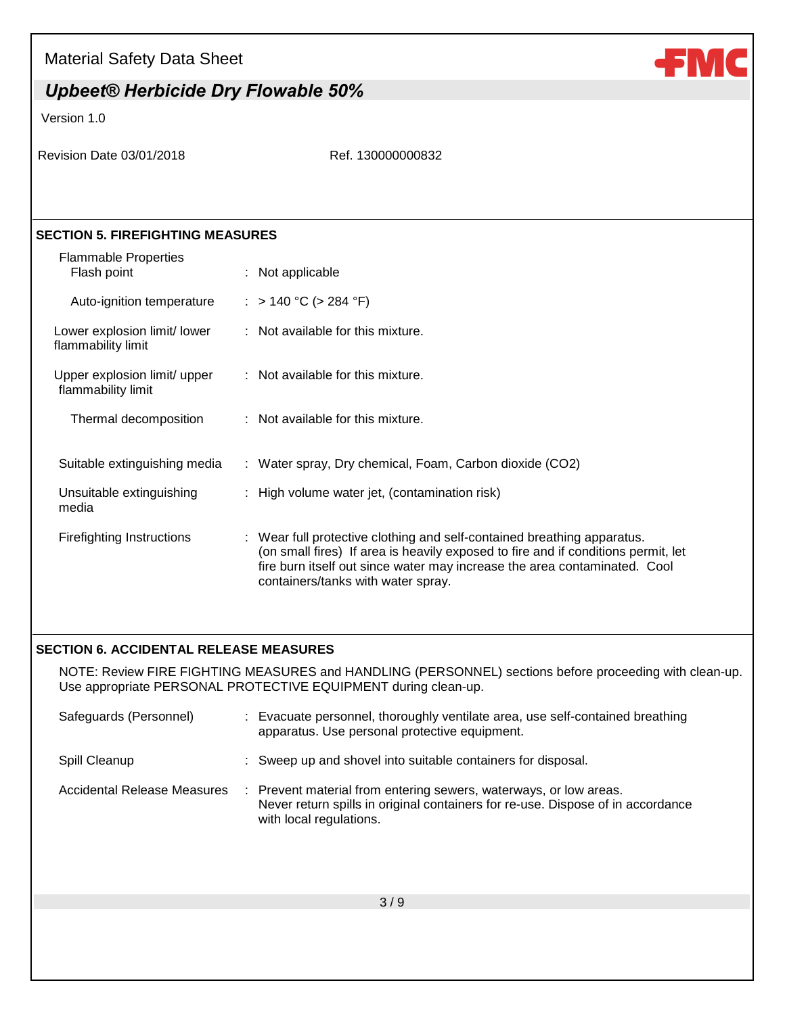Version 1.0

Revision Date 03/01/2018 Ref. 130000000832

#### **SECTION 5. FIREFIGHTING MEASURES**

| <b>Flammable Properties</b><br>Flash point         | $:$ Not applicable                                                                                                                                                                                                                                                              |
|----------------------------------------------------|---------------------------------------------------------------------------------------------------------------------------------------------------------------------------------------------------------------------------------------------------------------------------------|
| Auto-ignition temperature                          | : > 140 °C (> 284 °F)                                                                                                                                                                                                                                                           |
| Lower explosion limit/ lower<br>flammability limit | : Not available for this mixture.                                                                                                                                                                                                                                               |
| Upper explosion limit/ upper<br>flammability limit | $\therefore$ Not available for this mixture.                                                                                                                                                                                                                                    |
| Thermal decomposition                              | $\therefore$ Not available for this mixture.                                                                                                                                                                                                                                    |
| Suitable extinguishing media                       | : Water spray, Dry chemical, Foam, Carbon dioxide (CO2)                                                                                                                                                                                                                         |
| Unsuitable extinguishing<br>media                  | : High volume water jet, (contamination risk)                                                                                                                                                                                                                                   |
| Firefighting Instructions                          | : Wear full protective clothing and self-contained breathing apparatus.<br>(on small fires) If area is heavily exposed to fire and if conditions permit, let<br>fire burn itself out since water may increase the area contaminated. Cool<br>containers/tanks with water spray. |

#### **SECTION 6. ACCIDENTAL RELEASE MEASURES**

NOTE: Review FIRE FIGHTING MEASURES and HANDLING (PERSONNEL) sections before proceeding with clean-up. Use appropriate PERSONAL PROTECTIVE EQUIPMENT during clean-up.

| Safeguards (Personnel)      | Evacuate personnel, thoroughly ventilate area, use self-contained breathing<br>apparatus. Use personal protective equipment.                                                  |
|-----------------------------|-------------------------------------------------------------------------------------------------------------------------------------------------------------------------------|
| Spill Cleanup               | : Sweep up and shovel into suitable containers for disposal.                                                                                                                  |
| Accidental Release Measures | Prevent material from entering sewers, waterways, or low areas.<br>Never return spills in original containers for re-use. Dispose of in accordance<br>with local regulations. |

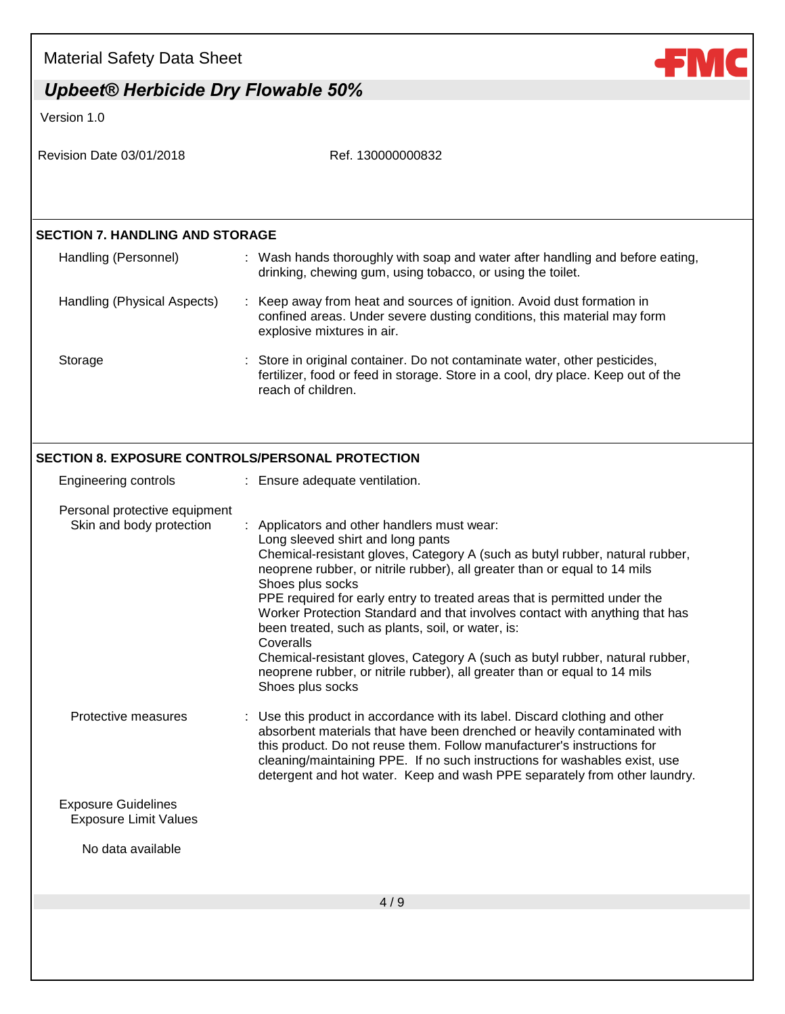| <b>Material Safety Data Sheet</b> |  |  |
|-----------------------------------|--|--|
|-----------------------------------|--|--|

Version 1.0

| Revision Date 03/01/2018                                   | Ref. 130000000832                                                                                                                                                                                                                                                                                                                                                                                                                                                                                                                                                                                                                                                              |
|------------------------------------------------------------|--------------------------------------------------------------------------------------------------------------------------------------------------------------------------------------------------------------------------------------------------------------------------------------------------------------------------------------------------------------------------------------------------------------------------------------------------------------------------------------------------------------------------------------------------------------------------------------------------------------------------------------------------------------------------------|
|                                                            |                                                                                                                                                                                                                                                                                                                                                                                                                                                                                                                                                                                                                                                                                |
| <b>SECTION 7. HANDLING AND STORAGE</b>                     |                                                                                                                                                                                                                                                                                                                                                                                                                                                                                                                                                                                                                                                                                |
| Handling (Personnel)                                       | : Wash hands thoroughly with soap and water after handling and before eating,<br>drinking, chewing gum, using tobacco, or using the toilet.                                                                                                                                                                                                                                                                                                                                                                                                                                                                                                                                    |
| Handling (Physical Aspects)                                | Keep away from heat and sources of ignition. Avoid dust formation in<br>confined areas. Under severe dusting conditions, this material may form<br>explosive mixtures in air.                                                                                                                                                                                                                                                                                                                                                                                                                                                                                                  |
| Storage                                                    | Store in original container. Do not contaminate water, other pesticides,<br>fertilizer, food or feed in storage. Store in a cool, dry place. Keep out of the<br>reach of children.                                                                                                                                                                                                                                                                                                                                                                                                                                                                                             |
| <b>SECTION 8. EXPOSURE CONTROLS/PERSONAL PROTECTION</b>    |                                                                                                                                                                                                                                                                                                                                                                                                                                                                                                                                                                                                                                                                                |
| <b>Engineering controls</b>                                | : Ensure adequate ventilation.                                                                                                                                                                                                                                                                                                                                                                                                                                                                                                                                                                                                                                                 |
| Personal protective equipment<br>Skin and body protection  | Applicators and other handlers must wear:<br>Long sleeved shirt and long pants<br>Chemical-resistant gloves, Category A (such as butyl rubber, natural rubber,<br>neoprene rubber, or nitrile rubber), all greater than or equal to 14 mils<br>Shoes plus socks<br>PPE required for early entry to treated areas that is permitted under the<br>Worker Protection Standard and that involves contact with anything that has<br>been treated, such as plants, soil, or water, is:<br>Coveralls<br>Chemical-resistant gloves, Category A (such as butyl rubber, natural rubber,<br>neoprene rubber, or nitrile rubber), all greater than or equal to 14 mils<br>Shoes plus socks |
| Protective measures                                        | Use this product in accordance with its label. Discard clothing and other<br>absorbent materials that have been drenched or heavily contaminated with<br>this product. Do not reuse them. Follow manufacturer's instructions for<br>cleaning/maintaining PPE. If no such instructions for washables exist, use<br>detergent and hot water. Keep and wash PPE separately from other laundry.                                                                                                                                                                                                                                                                                    |
| <b>Exposure Guidelines</b><br><b>Exposure Limit Values</b> |                                                                                                                                                                                                                                                                                                                                                                                                                                                                                                                                                                                                                                                                                |
| No data available                                          |                                                                                                                                                                                                                                                                                                                                                                                                                                                                                                                                                                                                                                                                                |
|                                                            | 4/9                                                                                                                                                                                                                                                                                                                                                                                                                                                                                                                                                                                                                                                                            |
|                                                            |                                                                                                                                                                                                                                                                                                                                                                                                                                                                                                                                                                                                                                                                                |

**FMC**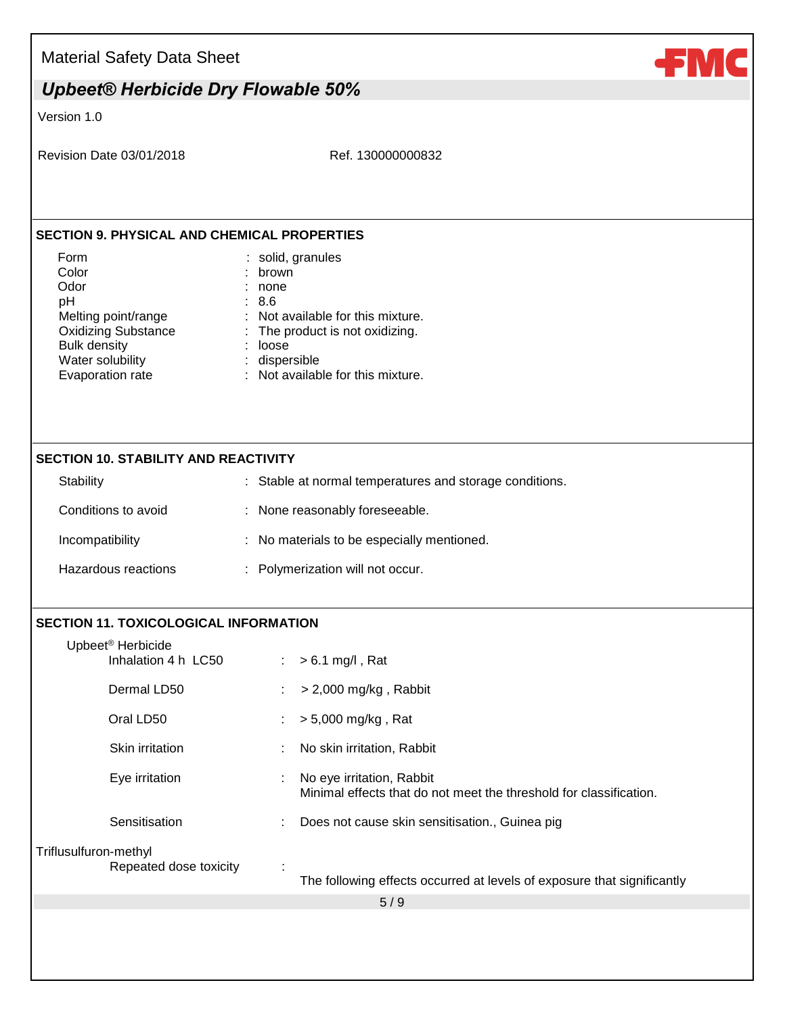Version 1.0

Revision Date 03/01/2018 Ref. 130000000832

#### **SECTION 9. PHYSICAL AND CHEMICAL PROPERTIES**

| : solid, granules                 |
|-----------------------------------|
| : brown                           |
| none                              |
| : 8.6                             |
| : Not available for this mixture. |
| : The product is not oxidizing.   |
| loose                             |
| : dispersible                     |
| : Not available for this mixture. |
|                                   |

#### **SECTION 10. STABILITY AND REACTIVITY**

| Stability           | : Stable at normal temperatures and storage conditions. |
|---------------------|---------------------------------------------------------|
| Conditions to avoid | : None reasonably foreseeable.                          |
| Incompatibility     | : No materials to be especially mentioned.              |
| Hazardous reactions | : Polymerization will not occur.                        |

#### **SECTION 11. TOXICOLOGICAL INFORMATION**

|                       | Upbeet <sup>®</sup> Herbicide |                               |                                                                                                 |
|-----------------------|-------------------------------|-------------------------------|-------------------------------------------------------------------------------------------------|
|                       | Inhalation 4 h LC50           | $\mathcal{I}^{\mathcal{I}}$ . | $> 6.1$ mg/l, Rat                                                                               |
|                       | Dermal LD50                   | t.                            | $>$ 2,000 mg/kg, Rabbit                                                                         |
|                       | Oral LD50                     | ÷.                            | > 5,000 mg/kg, Rat                                                                              |
|                       | Skin irritation               |                               | No skin irritation, Rabbit                                                                      |
|                       | Eye irritation                |                               | No eye irritation, Rabbit<br>Minimal effects that do not meet the threshold for classification. |
|                       | Sensitisation                 |                               | Does not cause skin sensitisation., Guinea pig                                                  |
| Triflusulfuron-methyl | Repeated dose toxicity        |                               | The following effects occurred at levels of exposure that significantly                         |
|                       |                               |                               | 5/9                                                                                             |
|                       |                               |                               |                                                                                                 |

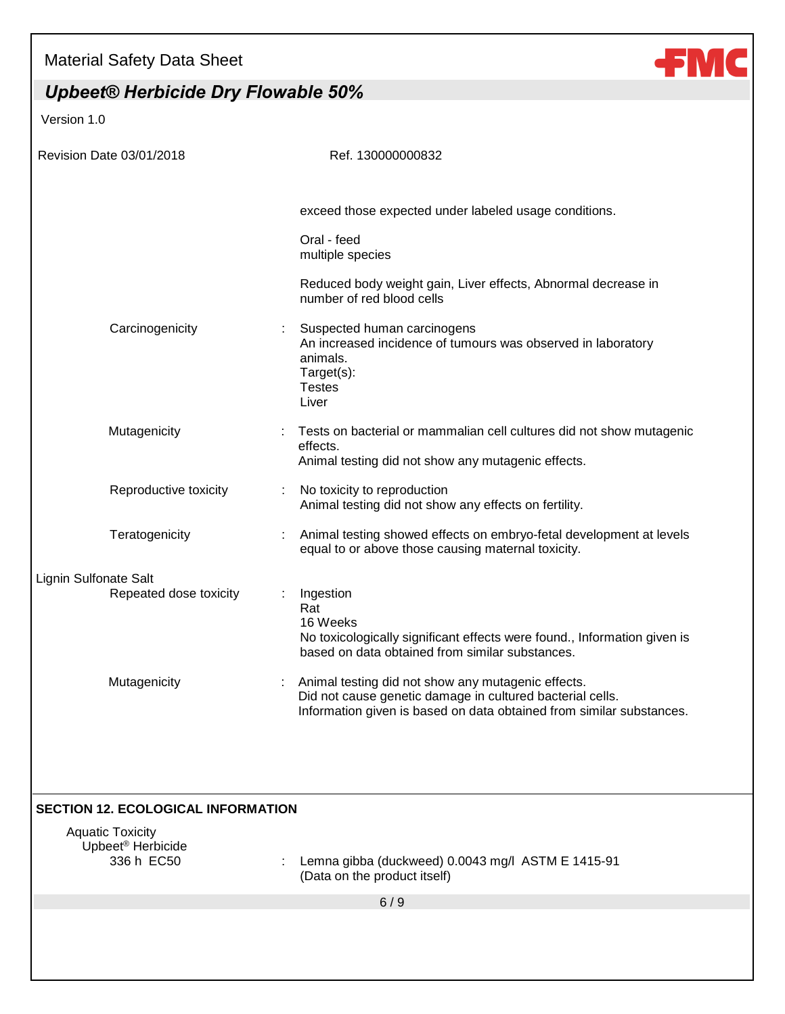## Material Safety Data Sheet

# *Upbeet® Herbicide Dry Flowable 50%*

Version 1.0

| Revision Date 03/01/2018                    | Ref. 130000000832                                                                                                                                                                       |
|---------------------------------------------|-----------------------------------------------------------------------------------------------------------------------------------------------------------------------------------------|
|                                             |                                                                                                                                                                                         |
|                                             | exceed those expected under labeled usage conditions.                                                                                                                                   |
|                                             | Oral - feed<br>multiple species                                                                                                                                                         |
|                                             | Reduced body weight gain, Liver effects, Abnormal decrease in<br>number of red blood cells                                                                                              |
| Carcinogenicity                             | Suspected human carcinogens<br>An increased incidence of tumours was observed in laboratory<br>animals.<br>Target(s):<br><b>Testes</b><br>Liver                                         |
| Mutagenicity                                | Tests on bacterial or mammalian cell cultures did not show mutagenic<br>effects.<br>Animal testing did not show any mutagenic effects.                                                  |
| Reproductive toxicity                       | No toxicity to reproduction<br>Animal testing did not show any effects on fertility.                                                                                                    |
| Teratogenicity                              | Animal testing showed effects on embryo-fetal development at levels<br>equal to or above those causing maternal toxicity.                                                               |
| Lignin Sulfonate Salt                       |                                                                                                                                                                                         |
| Repeated dose toxicity                      | Ingestion<br>÷<br>Rat<br>16 Weeks<br>No toxicologically significant effects were found., Information given is<br>based on data obtained from similar substances.                        |
| Mutagenicity                                | Animal testing did not show any mutagenic effects.<br>Did not cause genetic damage in cultured bacterial cells.<br>Information given is based on data obtained from similar substances. |
|                                             |                                                                                                                                                                                         |
| <b>SECTION 12. ECOLOGICAL INFORMATION</b>   |                                                                                                                                                                                         |
| <b>Aquatic Toxicity</b>                     |                                                                                                                                                                                         |
| Upbeet <sup>®</sup> Herbicide<br>336 h EC50 | Lemna gibba (duckweed) 0.0043 mg/l ASTM E 1415-91<br>(Data on the product itself)                                                                                                       |
|                                             | 6/9                                                                                                                                                                                     |
|                                             |                                                                                                                                                                                         |

**FMC**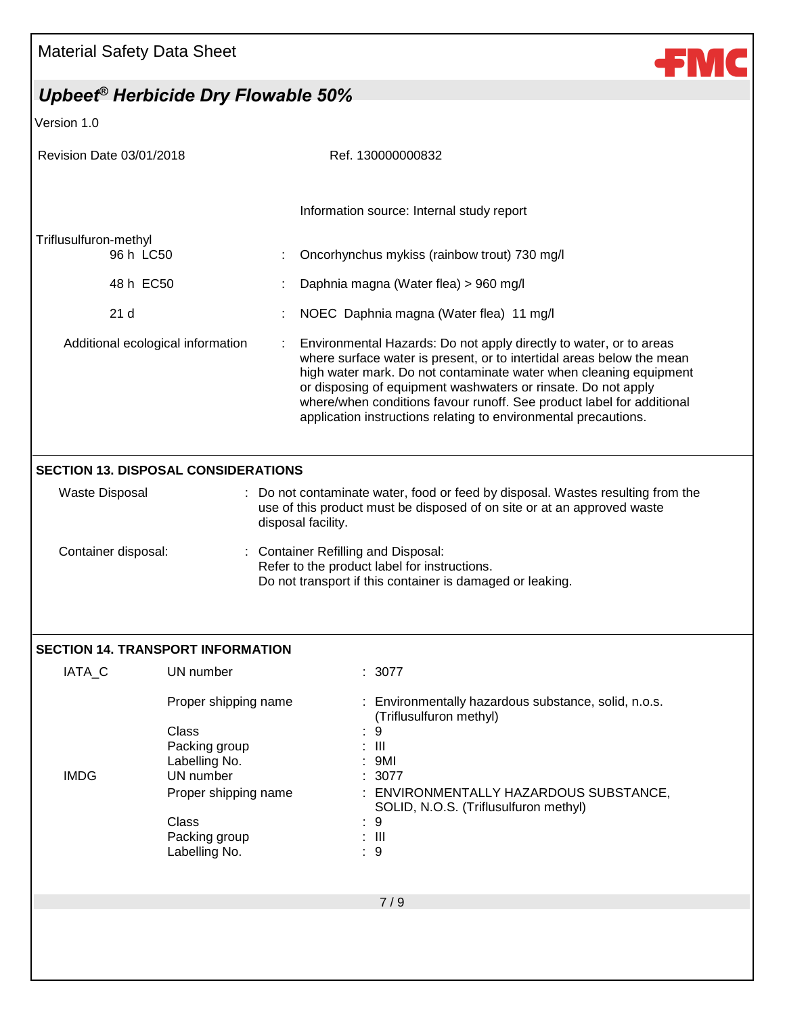

| Revision Date 03/01/2018                     |                                                                                                                                                        |                                                                                                                                                                                                                                                                                                                                                                                                                                     | Ref. 130000000832                                                                                                                                                                                                                   |
|----------------------------------------------|--------------------------------------------------------------------------------------------------------------------------------------------------------|-------------------------------------------------------------------------------------------------------------------------------------------------------------------------------------------------------------------------------------------------------------------------------------------------------------------------------------------------------------------------------------------------------------------------------------|-------------------------------------------------------------------------------------------------------------------------------------------------------------------------------------------------------------------------------------|
|                                              |                                                                                                                                                        |                                                                                                                                                                                                                                                                                                                                                                                                                                     | Information source: Internal study report                                                                                                                                                                                           |
| Triflusulfuron-methyl<br>96 h LC50           |                                                                                                                                                        |                                                                                                                                                                                                                                                                                                                                                                                                                                     | Oncorhynchus mykiss (rainbow trout) 730 mg/l                                                                                                                                                                                        |
| 48 h EC50                                    |                                                                                                                                                        |                                                                                                                                                                                                                                                                                                                                                                                                                                     | Daphnia magna (Water flea) > 960 mg/l                                                                                                                                                                                               |
| 21 <sub>d</sub>                              |                                                                                                                                                        |                                                                                                                                                                                                                                                                                                                                                                                                                                     | NOEC Daphnia magna (Water flea) 11 mg/l                                                                                                                                                                                             |
| Additional ecological information            |                                                                                                                                                        | Environmental Hazards: Do not apply directly to water, or to areas<br>÷.<br>where surface water is present, or to intertidal areas below the mean<br>high water mark. Do not contaminate water when cleaning equipment<br>or disposing of equipment washwaters or rinsate. Do not apply<br>where/when conditions favour runoff. See product label for additional<br>application instructions relating to environmental precautions. |                                                                                                                                                                                                                                     |
| <b>Waste Disposal</b><br>Container disposal: |                                                                                                                                                        |                                                                                                                                                                                                                                                                                                                                                                                                                                     | : Do not contaminate water, food or feed by disposal. Wastes resulting from the<br>use of this product must be disposed of on site or at an approved waste<br>disposal facility.                                                    |
|                                              |                                                                                                                                                        |                                                                                                                                                                                                                                                                                                                                                                                                                                     | : Container Refilling and Disposal:<br>Refer to the product label for instructions.<br>Do not transport if this container is damaged or leaking.                                                                                    |
|                                              | <b>SECTION 14. TRANSPORT INFORMATION</b>                                                                                                               |                                                                                                                                                                                                                                                                                                                                                                                                                                     |                                                                                                                                                                                                                                     |
| IATA_C                                       | UN number                                                                                                                                              |                                                                                                                                                                                                                                                                                                                                                                                                                                     | : 3077                                                                                                                                                                                                                              |
| <b>IMDG</b>                                  | Proper shipping name<br>Class<br>Packing group<br>Labelling No.<br>UN number<br>Proper shipping name<br><b>Class</b><br>Packing group<br>Labelling No. |                                                                                                                                                                                                                                                                                                                                                                                                                                     | : Environmentally hazardous substance, solid, n.o.s.<br>(Triflusulfuron methyl)<br>9<br>Ш<br>9MI<br>3077<br>: ENVIRONMENTALLY HAZARDOUS SUBSTANCE,<br>SOLID, N.O.S. (Triflusulfuron methyl)<br>$\therefore$ 9<br>$\pm$ 111<br>$9\,$ |
|                                              |                                                                                                                                                        |                                                                                                                                                                                                                                                                                                                                                                                                                                     | 7/9                                                                                                                                                                                                                                 |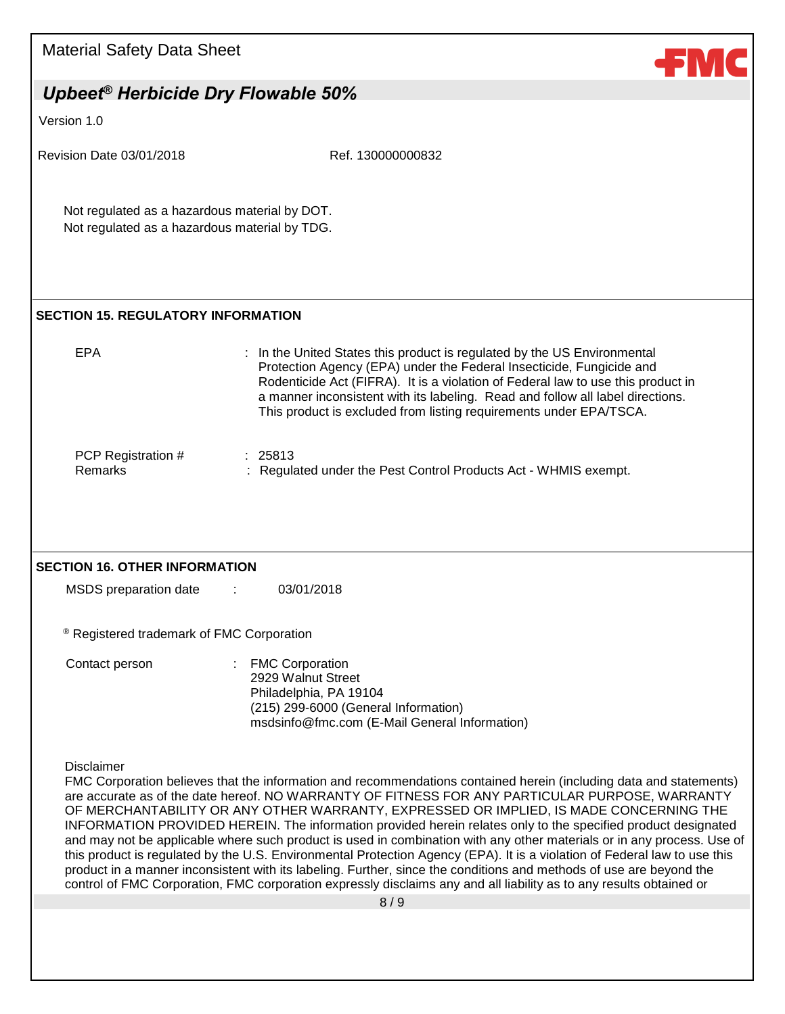| <b>Material Safety Data Sheet</b>                                                              |                                                                                                                                                                                                                                                                                                                                                                                                                                                                                                                                                                                                                                                                                                                                                                                                                                                                                                                                              |  |  |  |
|------------------------------------------------------------------------------------------------|----------------------------------------------------------------------------------------------------------------------------------------------------------------------------------------------------------------------------------------------------------------------------------------------------------------------------------------------------------------------------------------------------------------------------------------------------------------------------------------------------------------------------------------------------------------------------------------------------------------------------------------------------------------------------------------------------------------------------------------------------------------------------------------------------------------------------------------------------------------------------------------------------------------------------------------------|--|--|--|
| Upbeet <sup>®</sup> Herbicide Dry Flowable 50%                                                 |                                                                                                                                                                                                                                                                                                                                                                                                                                                                                                                                                                                                                                                                                                                                                                                                                                                                                                                                              |  |  |  |
| Version 1.0                                                                                    |                                                                                                                                                                                                                                                                                                                                                                                                                                                                                                                                                                                                                                                                                                                                                                                                                                                                                                                                              |  |  |  |
| Revision Date 03/01/2018                                                                       | Ref. 130000000832                                                                                                                                                                                                                                                                                                                                                                                                                                                                                                                                                                                                                                                                                                                                                                                                                                                                                                                            |  |  |  |
| Not regulated as a hazardous material by DOT.<br>Not regulated as a hazardous material by TDG. |                                                                                                                                                                                                                                                                                                                                                                                                                                                                                                                                                                                                                                                                                                                                                                                                                                                                                                                                              |  |  |  |
| <b>SECTION 15. REGULATORY INFORMATION</b>                                                      |                                                                                                                                                                                                                                                                                                                                                                                                                                                                                                                                                                                                                                                                                                                                                                                                                                                                                                                                              |  |  |  |
| <b>EPA</b>                                                                                     | In the United States this product is regulated by the US Environmental<br>Protection Agency (EPA) under the Federal Insecticide, Fungicide and<br>Rodenticide Act (FIFRA). It is a violation of Federal law to use this product in<br>a manner inconsistent with its labeling. Read and follow all label directions.<br>This product is excluded from listing requirements under EPA/TSCA.                                                                                                                                                                                                                                                                                                                                                                                                                                                                                                                                                   |  |  |  |
| PCP Registration #<br><b>Remarks</b>                                                           | 25813<br>: Regulated under the Pest Control Products Act - WHMIS exempt.                                                                                                                                                                                                                                                                                                                                                                                                                                                                                                                                                                                                                                                                                                                                                                                                                                                                     |  |  |  |
| <b>SECTION 16. OTHER INFORMATION</b>                                                           |                                                                                                                                                                                                                                                                                                                                                                                                                                                                                                                                                                                                                                                                                                                                                                                                                                                                                                                                              |  |  |  |
| MSDS preparation date                                                                          | 03/01/2018                                                                                                                                                                                                                                                                                                                                                                                                                                                                                                                                                                                                                                                                                                                                                                                                                                                                                                                                   |  |  |  |
| ® Registered trademark of FMC Corporation                                                      |                                                                                                                                                                                                                                                                                                                                                                                                                                                                                                                                                                                                                                                                                                                                                                                                                                                                                                                                              |  |  |  |
| Contact person                                                                                 | <b>FMC Corporation</b><br>2929 Walnut Street<br>Philadelphia, PA 19104<br>(215) 299-6000 (General Information)<br>msdsinfo@fmc.com (E-Mail General Information)                                                                                                                                                                                                                                                                                                                                                                                                                                                                                                                                                                                                                                                                                                                                                                              |  |  |  |
| <b>Disclaimer</b>                                                                              | FMC Corporation believes that the information and recommendations contained herein (including data and statements)<br>are accurate as of the date hereof. NO WARRANTY OF FITNESS FOR ANY PARTICULAR PURPOSE, WARRANTY<br>OF MERCHANTABILITY OR ANY OTHER WARRANTY, EXPRESSED OR IMPLIED, IS MADE CONCERNING THE<br>INFORMATION PROVIDED HEREIN. The information provided herein relates only to the specified product designated<br>and may not be applicable where such product is used in combination with any other materials or in any process. Use of<br>this product is regulated by the U.S. Environmental Protection Agency (EPA). It is a violation of Federal law to use this<br>product in a manner inconsistent with its labeling. Further, since the conditions and methods of use are beyond the<br>control of FMC Corporation, FMC corporation expressly disclaims any and all liability as to any results obtained or<br>8/9 |  |  |  |